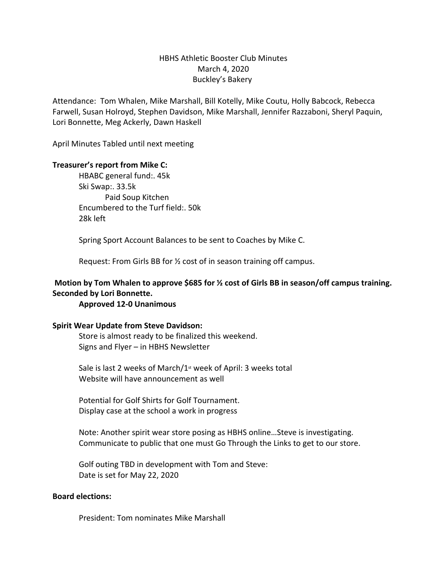# HBHS Athletic Booster Club Minutes March 4, 2020 Buckley's Bakery

Attendance: Tom Whalen, Mike Marshall, Bill Kotelly, Mike Coutu, Holly Babcock, Rebecca Farwell, Susan Holroyd, Stephen Davidson, Mike Marshall, Jennifer Razzaboni, Sheryl Paquin, Lori Bonnette, Meg Ackerly, Dawn Haskell

April Minutes Tabled until next meeting

#### **Treasurer's report from Mike C:**

HBABC general fund:. 45k Ski Swap:. 33.5k Paid Soup Kitchen Encumbered to the Turf field:. 50k 28k left

Spring Sport Account Balances to be sent to Coaches by Mike C.

Request: From Girls BB for ½ cost of in season training off campus.

### **Motion by Tom Whalen to approve \$685 for ½ cost of Girls BB in season/off campus training. Seconded by Lori Bonnette.**

#### **Approved 12-0 Unanimous**

#### **Spirit Wear Update from Steve Davidson:**

Store is almost ready to be finalized this weekend. Signs and Flyer – in HBHS Newsletter

Sale is last 2 weeks of March/ $1<sup>st</sup>$  week of April: 3 weeks total Website will have announcement as well

Potential for Golf Shirts for Golf Tournament. Display case at the school a work in progress

Note: Another spirit wear store posing as HBHS online…Steve is investigating. Communicate to public that one must Go Through the Links to get to our store.

Golf outing TBD in development with Tom and Steve: Date is set for May 22, 2020

#### **Board elections:**

President: Tom nominates Mike Marshall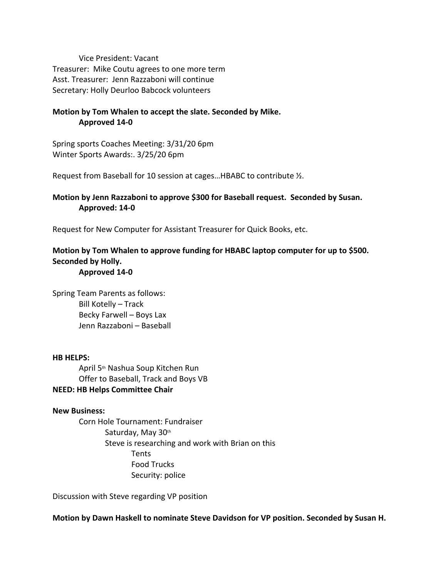Vice President: Vacant Treasurer: Mike Coutu agrees to one more term Asst. Treasurer: Jenn Razzaboni will continue Secretary: Holly Deurloo Babcock volunteers

# **Motion by Tom Whalen to accept the slate. Seconded by Mike. Approved 14-0**

Spring sports Coaches Meeting: 3/31/20 6pm Winter Sports Awards:. 3/25/20 6pm

Request from Baseball for 10 session at cages…HBABC to contribute ½.

# **Motion by Jenn Razzaboni to approve \$300 for Baseball request. Seconded by Susan. Approved: 14-0**

Request for New Computer for Assistant Treasurer for Quick Books, etc.

# **Motion by Tom Whalen to approve funding for HBABC laptop computer for up to \$500. Seconded by Holly. Approved 14-0**

Spring Team Parents as follows: Bill Kotelly – Track Becky Farwell – Boys Lax Jenn Razzaboni – Baseball

### **HB HELPS:**

April 5th Nashua Soup Kitchen Run Offer to Baseball, Track and Boys VB

# **NEED: HB Helps Committee Chair**

#### **New Business:**

Corn Hole Tournament: Fundraiser Saturday, May 30th Steve is researching and work with Brian on this Tents Food Trucks Security: police

Discussion with Steve regarding VP position

**Motion by Dawn Haskell to nominate Steve Davidson for VP position. Seconded by Susan H.**